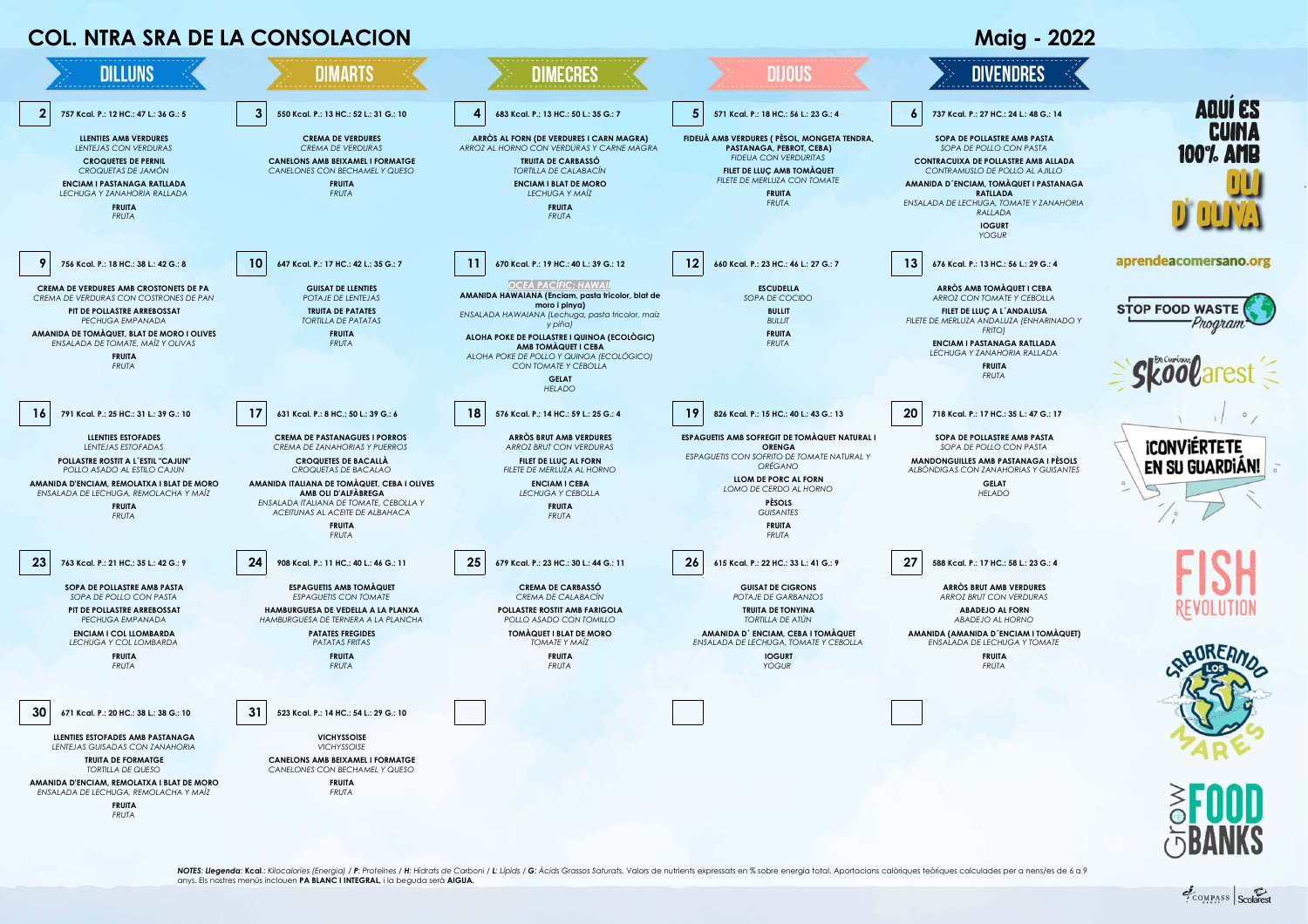

**AMANIDA D'ENCIAM, REMOLATXA I BLAT DE MORO** *ENSALADA DE LECHUGA, REMOLACHA Y MAÍZ* **FRUITA**

*FRUTA*

**FRUITA** *FRUTA*

NOTES: Llegenda: Kcal.: Kilocalories (Energia) / P: Proteïnes / H: Hidrats de Carboni / L: Lípids / G: Àcids Grassos Saturats. Valors de nutrients expressats en % sobre energia total. Aportacions calòriques teòriques calcu anys. Els nostres menús inclouen **PA BLANC I INTEGRAL,** i la beguda serà **AIGUA.**